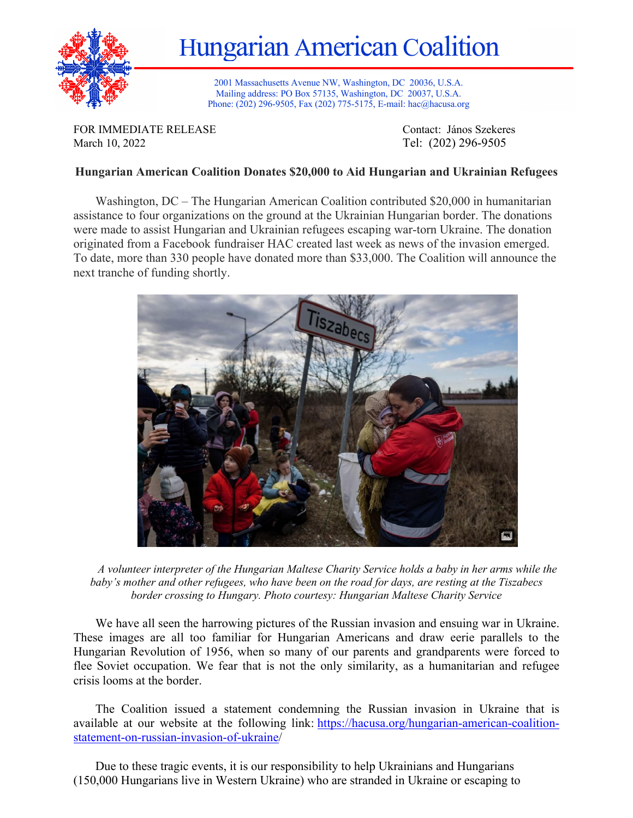

Hungarian American Coalition

2001 Massachusetts Avenue NW, Washington, DC 20036, U.S.A. Mailing address: PO Box 57135, Washington, DC 20037, U.S.A. Phone: (202) 296-9505, Fax (202) 775-5175, E-mail: hac@hacusa.org

FOR IMMEDIATE RELEASE Contact: János Szekeres March 10, 2022 Tel: (202) 296-9505

## **Hungarian American Coalition Donates \$20,000 to Aid Hungarian and Ukrainian Refugees**

Washington, DC – The Hungarian American Coalition contributed \$20,000 in humanitarian assistance to four organizations on the ground at the Ukrainian Hungarian border. The donations were made to assist Hungarian and Ukrainian refugees escaping war-torn Ukraine. The donation originated from a Facebook fundraiser HAC created last week as news of the invasion emerged. To date, more than 330 people have donated more than \$33,000. The Coalition will announce the next tranche of funding shortly.



*A volunteer interpreter of the Hungarian Maltese Charity Service holds a baby in her arms while the baby's mother and other refugees, who have been on the road for days, are resting at the Tiszabecs border crossing to Hungary. Photo courtesy: Hungarian Maltese Charity Service*

We have all seen the harrowing pictures of the Russian invasion and ensuing war in Ukraine. These images are all too familiar for Hungarian Americans and draw eerie parallels to the Hungarian Revolution of 1956, when so many of our parents and grandparents were forced to flee Soviet occupation. We fear that is not the only similarity, as a humanitarian and refugee crisis looms at the border.

The Coalition issued a statement condemning the Russian invasion in Ukraine that is available at our website at the following link: https://hacusa.org/hungarian-american-coalitionstatement-on-russian-invasion-of-ukraine/

Due to these tragic events, it is our responsibility to help Ukrainians and Hungarians (150,000 Hungarians live in Western Ukraine) who are stranded in Ukraine or escaping to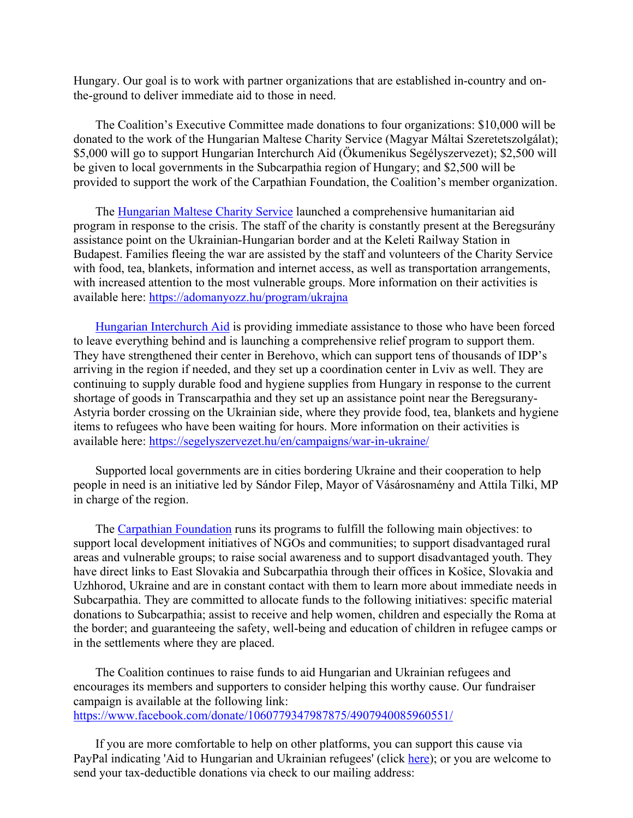Hungary. Our goal is to work with partner organizations that are established in-country and onthe-ground to deliver immediate aid to those in need.

The Coalition's Executive Committee made donations to four organizations: \$10,000 will be donated to the work of the Hungarian Maltese Charity Service (Magyar Máltai Szeretetszolgálat); \$5,000 will go to support Hungarian Interchurch Aid (Ökumenikus Segélyszervezet); \$2,500 will be given to local governments in the Subcarpathia region of Hungary; and \$2,500 will be provided to support the work of the Carpathian Foundation, the Coalition's member organization.

The Hungarian Maltese Charity Service launched a comprehensive humanitarian aid program in response to the crisis. The staff of the charity is constantly present at the Beregsurány assistance point on the Ukrainian-Hungarian border and at the Keleti Railway Station in Budapest. Families fleeing the war are assisted by the staff and volunteers of the Charity Service with food, tea, blankets, information and internet access, as well as transportation arrangements, with increased attention to the most vulnerable groups. More information on their activities is available here: https://adomanyozz.hu/program/ukrajna

Hungarian Interchurch Aid is providing immediate assistance to those who have been forced to leave everything behind and is launching a comprehensive relief program to support them. They have strengthened their center in Berehovo, which can support tens of thousands of IDP's arriving in the region if needed, and they set up a coordination center in Lviv as well. They are continuing to supply durable food and hygiene supplies from Hungary in response to the current shortage of goods in Transcarpathia and they set up an assistance point near the Beregsurany-Astyria border crossing on the Ukrainian side, where they provide food, tea, blankets and hygiene items to refugees who have been waiting for hours. More information on their activities is available here: https://segelyszervezet.hu/en/campaigns/war-in-ukraine/

Supported local governments are in cities bordering Ukraine and their cooperation to help people in need is an initiative led by Sándor Filep, Mayor of Vásárosnamény and Attila Tilki, MP in charge of the region.

The Carpathian Foundation runs its programs to fulfill the following main objectives: to support local development initiatives of NGOs and communities; to support disadvantaged rural areas and vulnerable groups; to raise social awareness and to support disadvantaged youth. They have direct links to East Slovakia and Subcarpathia through their offices in Košice, Slovakia and Uzhhorod, Ukraine and are in constant contact with them to learn more about immediate needs in Subcarpathia. They are committed to allocate funds to the following initiatives: specific material donations to Subcarpathia; assist to receive and help women, children and especially the Roma at the border; and guaranteeing the safety, well-being and education of children in refugee camps or in the settlements where they are placed.

The Coalition continues to raise funds to aid Hungarian and Ukrainian refugees and encourages its members and supporters to consider helping this worthy cause. Our fundraiser campaign is available at the following link: https://www.facebook.com/donate/1060779347987875/4907940085960551/

If you are more comfortable to help on other platforms, you can support this cause via PayPal indicating 'Aid to Hungarian and Ukrainian refugees' (click here); or you are welcome to send your tax-deductible donations via check to our mailing address: